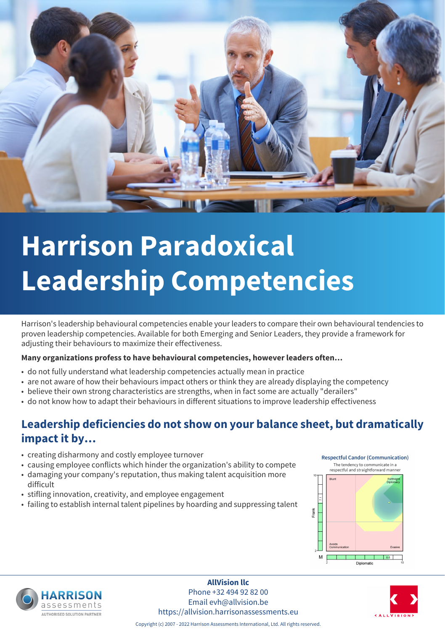

# **Harrison Paradoxical Leadership Competencies**

Harrison's leadership behavioural competencies enable your leaders to compare their own behavioural tendencies to proven leadership competencies. Available for both Emerging and Senior Leaders, they provide a framework for adjusting their behaviours to maximize their effectiveness.

#### **Many organizations profess to have behavioural competencies, however leaders often…**

- do not fully understand what leadership competencies actually mean in practice
- are not aware of how their behaviours impact others or think they are already displaying the competency
- believe their own strong characteristics are strengths, when in fact some are actually "derailers"
- do not know how to adapt their behaviours in different situations to improve leadership effectiveness

### **Leadership deficiencies do not show on your balance sheet, but dramatically impact it by…**

- creating disharmony and costly employee turnover
- causing employee conflicts which hinder the organization's ability to compete
- damaging your company's reputation, thus making talent acquisition more difficult
- stifling innovation, creativity, and employee engagement
- failing to establish internal talent pipelines by hoarding and suppressing talent





**AllVision llc** Phone +32 494 92 82 00 Email evh@allvision.be https://allvision.harrisonassessments.eu



Copyright (c) 2007 - 2022 Harrison Assessments International, Ltd. All rights reserved.